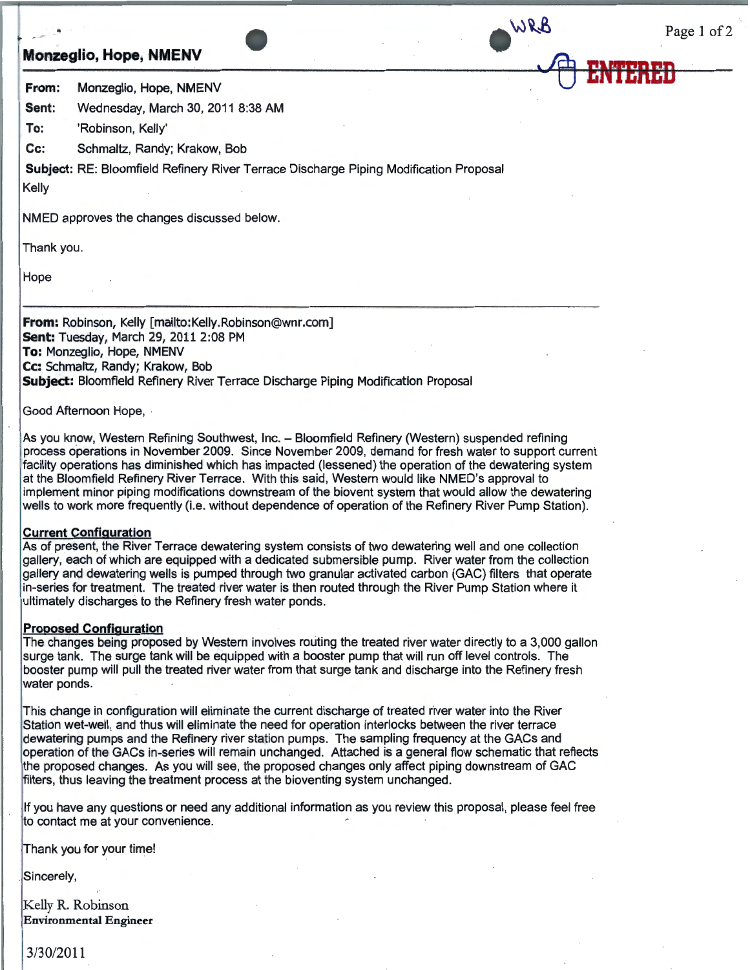## **Monzeglio, Hope, NMENV**

Page 1 of 2

·.'4:J **ENTERED** 

WRB

**From:** Monzeglio, Hope, NMENV

**Sent:** Wednesday, March 30, 2011 8:38 **AM** 

**To:** 'Robinson, Kelly'

**Cc:** Schmaltz, Randy; Krakow, Bob

**Subject:** RE: Bloomfield Refinery River Terrace Discharge Piping Modification Proposal

Kelly

NMED approves the changes discussed below.

Thank you.

Hope

**From:** Robinson, Kelly [mailto:Kelly.Robinson@wnr.com] **Sent:** Tuesday, March 29, 2011 2:08 PM **To:** Monzeglio, Hope, **NMENV Cc:** Schmaltz, Randy; Krakow, Bob **Subject:** Bloomfield Refinery River Terrace Discharge Piping Modification Proposal

Good Afternoon Hope,

As you know, Western Refining Southwest, Inc. - Bloomfield Refinery (Western) suspended refining process operations in November 2009. Since November 2009, demand for fresh water to support current facility operations has diminished which has impacted (lessened) the operation of the dewatering system at the Bloomfield Refinery River Terrace. With this said, Western would like NMED's approval to implement minor piping modifications downstream of the biovent system that would allow the dewatering wells to work more frequently (i.e. without dependence of operation of the Refinery River Pump Station).

## **Current Configuration**

As of present, the River Terrace dewatering system consists of two dewatering well and one collection gallery, each of which are equipped with a dedicated submersible pump. River water from the collection gallery and dewatering wells is pumped through two granular activated carbon (GAC) filters that operate in-series for treatment. The treated river water is then routed through the River Pump Station where it ultimately discharges to the Refinery fresh water ponds.

## **Proposed Configuration**

The changes being proposed by Western involves routing the treated river water directly to a 3,000 gallon surge tank. The surge tank will be equipped with a booster pump that will run off level controls. The booster pump will pull the treated river water from that surge tank and discharge into the Refinery fresh water ponds.

This change in configuration will eliminate the current discharge of treated river water into the River Station wet-well, and thus will eliminate the need for operation interlocks between the river terrace dewatering pumps and the Refinery river station pumps. The sampling frequency at the GACs and operation of the GACs in-series will remain unchanged. Attached is a general flow schematic that reflects the proposed changes. As you will see, the proposed changes only affect piping downstream of GAC filters, thus leaving the treatment process at the bioventing system unchanged.

If you have any questions or need any additional information as you review this proposal, please feel free to contact me at your convenience.

Thank you for your time!

Sincerely,

Kelly R. Robinson **Environmental Engineer** 

3/30/2011